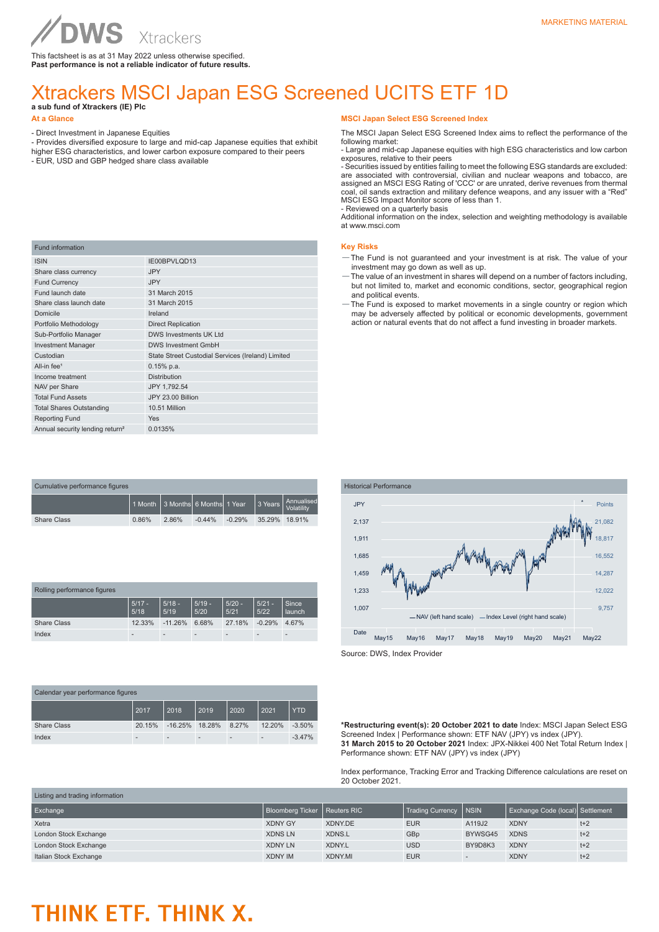This factsheet is as at 31 May 2022 unless otherwise specified. **Past performance is not a reliable indicator of future results.**

## Xtrackers MSCI Japan ESG Screened UCITS ETF 1D **a sub fund of Xtrackers (IE) Plc**

### **At a Glance**

- Direct Investment in Japanese Equities

- Provides diversified exposure to large and mid-cap Japanese equities that exhibit higher ESG characteristics, and lower carbon exposure compared to their peers
- EUR, USD and GBP hedged share class available

| <b>Fund information</b>                     |                                                   |
|---------------------------------------------|---------------------------------------------------|
| <b>ISIN</b>                                 | IE00BPVLQD13                                      |
| Share class currency                        | <b>JPY</b>                                        |
| <b>Fund Currency</b>                        | <b>JPY</b>                                        |
| Fund launch date                            | 31 March 2015                                     |
| Share class launch date                     | 31 March 2015                                     |
| Domicile                                    | Ireland                                           |
| Portfolio Methodology                       | <b>Direct Replication</b>                         |
| Sub-Portfolio Manager                       | DWS Investments UK Ltd                            |
| <b>Investment Manager</b>                   | <b>DWS Investment GmbH</b>                        |
| Custodian                                   | State Street Custodial Services (Ireland) Limited |
| All-in fee <sup>1</sup>                     | $0.15%$ p.a.                                      |
| Income treatment                            | <b>Distribution</b>                               |
| NAV per Share                               | JPY 1,792.54                                      |
| <b>Total Fund Assets</b>                    | JPY 23.00 Billion                                 |
| <b>Total Shares Outstanding</b>             | 10.51 Million                                     |
| <b>Reporting Fund</b>                       | Yes                                               |
| Annual security lending return <sup>2</sup> | 0.0135%                                           |

| Cumulative performance figures |                                   |       |          |          |               |                          |  |  |
|--------------------------------|-----------------------------------|-------|----------|----------|---------------|--------------------------|--|--|
|                                | 1 1 Month 3 Months 6 Months 1Year |       |          |          | 3 Years       | Annualised<br>Volatility |  |  |
| <b>Share Class</b>             | 0.86%                             | 2.86% | $-0.44%$ | $-0.29%$ | 35.29% 18.91% |                          |  |  |

| Rolling performance figures |                          |                          |                  |                          |                  |                 |
|-----------------------------|--------------------------|--------------------------|------------------|--------------------------|------------------|-----------------|
|                             | $5/17 -$<br>5/18         | $5/18 -$<br>5/19         | $5/19 -$<br>5/20 | $5/20 -$<br>5/21         | $5/21 -$<br>5/22 | Since<br>launch |
| <b>Share Class</b>          | 12.33%                   | $-11.26%$                | 6.68%            | 27.18%                   | $-0.29%$         | 4.67%           |
| Index                       | $\overline{\phantom{a}}$ | $\overline{\phantom{a}}$ |                  | $\overline{\phantom{a}}$ |                  |                 |

| Calendar year performance figures |        |                          |        |                          |        |            |
|-----------------------------------|--------|--------------------------|--------|--------------------------|--------|------------|
|                                   | 2017   | 2018                     | 2019   | 2020                     | 2021   | <b>YTD</b> |
| <b>Share Class</b>                | 20.15% | $-16.25%$                | 18.28% | 8.27%                    | 12.20% | $-3.50%$   |
| Index                             |        | $\overline{\phantom{a}}$ |        | $\overline{\phantom{a}}$ |        | $-3.47%$   |

#### **MSCI Japan Select ESG Screened Index**

The MSCI Japan Select ESG Screened Index aims to reflect the performance of the following market:

- Large and mid-cap Japanese equities with high ESG characteristics and low carbon exposures, relative to their peers

- Securities issued by entities failing to meet the following ESG standards are excluded: are associated with controversial, civilian and nuclear weapons and tobacco, are assigned an MSCI ESG Rating of 'CCC' or are unrated, derive revenues from thermal coal, oil sands extraction and military defence weapons, and any issuer with a "Red" MSCI ESG Impact Monitor score of less than 1.

- Reviewed on a quarterly basis

Additional information on the index, selection and weighting methodology is available at www.msci.com

### **Key Risks**

- —The Fund is not guaranteed and your investment is at risk. The value of your investment may go down as well as up.
- —The value of an investment in shares will depend on a number of factors including, but not limited to, market and economic conditions, sector, geographical region and political events.
- —The Fund is exposed to market movements in a single country or region which may be adversely affected by political or economic developments, government action or natural events that do not affect a fund investing in broader markets.



Source: DWS, Index Provider

**\*Restructuring event(s): 20 October 2021 to date** Index: MSCI Japan Select ESG Screened Index | Performance shown: ETF NAV (JPY) vs index (JPY). **31 March 2015 to 20 October 2021** Index: JPX-Nikkei 400 Net Total Return Index | Performance shown: ETF NAV (JPY) vs index (JPY)

Index performance, Tracking Error and Tracking Difference calculations are reset on 20 October 2021.

| Listing and trading information |                                |               |                         |                          |                                  |       |
|---------------------------------|--------------------------------|---------------|-------------------------|--------------------------|----------------------------------|-------|
| Exchange                        | Bloomberg Ticker   Reuters RIC |               | <b>Trading Currency</b> | <b>NSIN</b>              | Exchange Code (local) Settlement |       |
| Xetra                           | <b>XDNY GY</b>                 | XDNY.DE       | <b>EUR</b>              | A119J2                   | <b>XDNY</b>                      | $t+2$ |
| London Stock Exchange           | <b>XDNS LN</b>                 | XDNS.L        | GBp                     | BYWSG45                  | <b>XDNS</b>                      | $t+2$ |
| London Stock Exchange           | <b>XDNY LN</b>                 | XDNY.L        | <b>USD</b>              | BY9D8K3                  | <b>XDNY</b>                      | $t+2$ |
| Italian Stock Exchange          | <b>XDNY IM</b>                 | <b>XDNYMI</b> | <b>EUR</b>              | $\overline{\phantom{a}}$ | <b>XDNY</b>                      | $t+2$ |

# THINK ETF. THINK X.